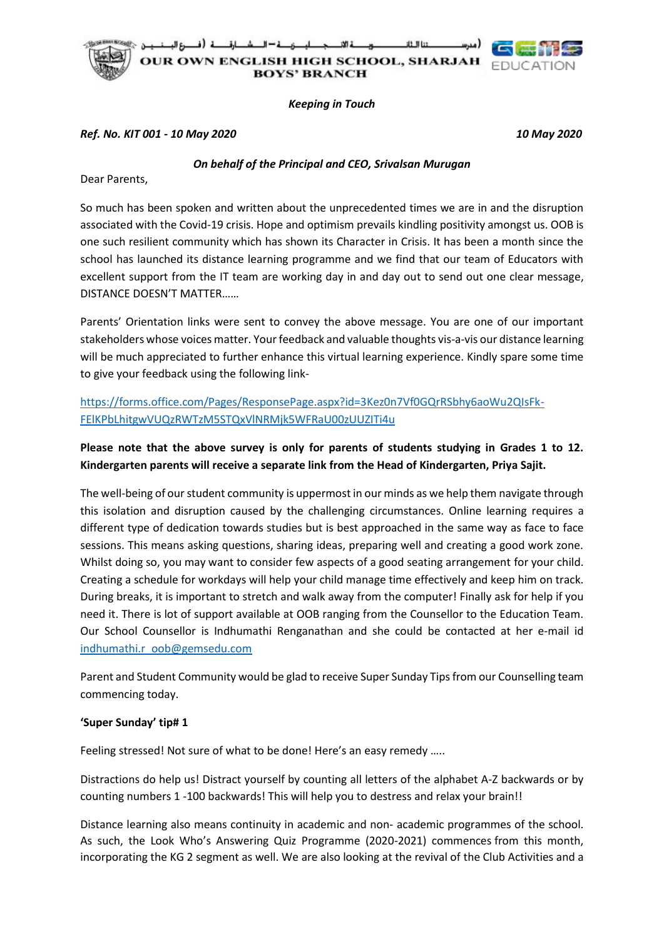

*Keeping in Touch*

## *Ref. No. KIT 001 - 10 May 2020 10 May 2020*

*On behalf of the Principal and CEO, Srivalsan Murugan*

Dear Parents,

So much has been spoken and written about the unprecedented times we are in and the disruption associated with the Covid-19 crisis. Hope and optimism prevails kindling positivity amongst us. OOB is one such resilient community which has shown its Character in Crisis. It has been a month since the school has launched its distance learning programme and we find that our team of Educators with excellent support from the IT team are working day in and day out to send out one clear message, DISTANCE DOESN'T MATTER……

Parents' Orientation links were sent to convey the above message. You are one of our important stakeholders whose voices matter. Your feedback and valuable thoughts vis-a-vis our distance learning will be much appreciated to further enhance this virtual learning experience. Kindly spare some time to give your feedback using the following link-

[https://forms.office.com/Pages/ResponsePage.aspx?id=3Kez0n7Vf0GQrRSbhy6aoWu2QIsFk-](https://forms.office.com/Pages/ResponsePage.aspx?id=3Kez0n7Vf0GQrRSbhy6aoWu2QIsFk-FElKPbLhitgwVUQzRWTzM5STQxVlNRMjk5WFRaU00zUUZITi4u)[FElKPbLhitgwVUQzRWTzM5STQxVlNRMjk5WFRaU00zUUZITi4u](https://forms.office.com/Pages/ResponsePage.aspx?id=3Kez0n7Vf0GQrRSbhy6aoWu2QIsFk-FElKPbLhitgwVUQzRWTzM5STQxVlNRMjk5WFRaU00zUUZITi4u)

## **Please note that the above survey is only for parents of students studying in Grades 1 to 12. Kindergarten parents will receive a separate link from the Head of Kindergarten, Priya Sajit.**

The well-being of our student community is uppermost in our minds as we help them navigate through this isolation and disruption caused by the challenging circumstances. Online learning requires a different type of dedication towards studies but is best approached in the same way as face to face sessions. This means asking questions, sharing ideas, preparing well and creating a good work zone. Whilst doing so, you may want to consider few aspects of a good seating arrangement for your child. Creating a schedule for workdays will help your child manage time effectively and keep him on track. During breaks, it is important to stretch and walk away from the computer! Finally ask for help if you need it. There is lot of support available at OOB ranging from the Counsellor to the Education Team. Our School Counsellor is Indhumathi Renganathan and she could be contacted at her e-mail id [indhumathi.r\\_oob@gemsedu.com](mailto:indhumathi.r_oob@gemsedu.com)

Parent and Student Community would be glad to receive Super Sunday Tips from our Counselling team commencing today.

## **'Super Sunday' tip# 1**

Feeling stressed! Not sure of what to be done! Here's an easy remedy …..

Distractions do help us! Distract yourself by counting all letters of the alphabet A-Z backwards or by counting numbers 1 -100 backwards! This will help you to destress and relax your brain!!

Distance learning also means continuity in academic and non- academic programmes of the school. As such, the Look Who's Answering Quiz Programme (2020-2021) commences from this month, incorporating the KG 2 segment as well. We are also looking at the revival of the Club Activities and a